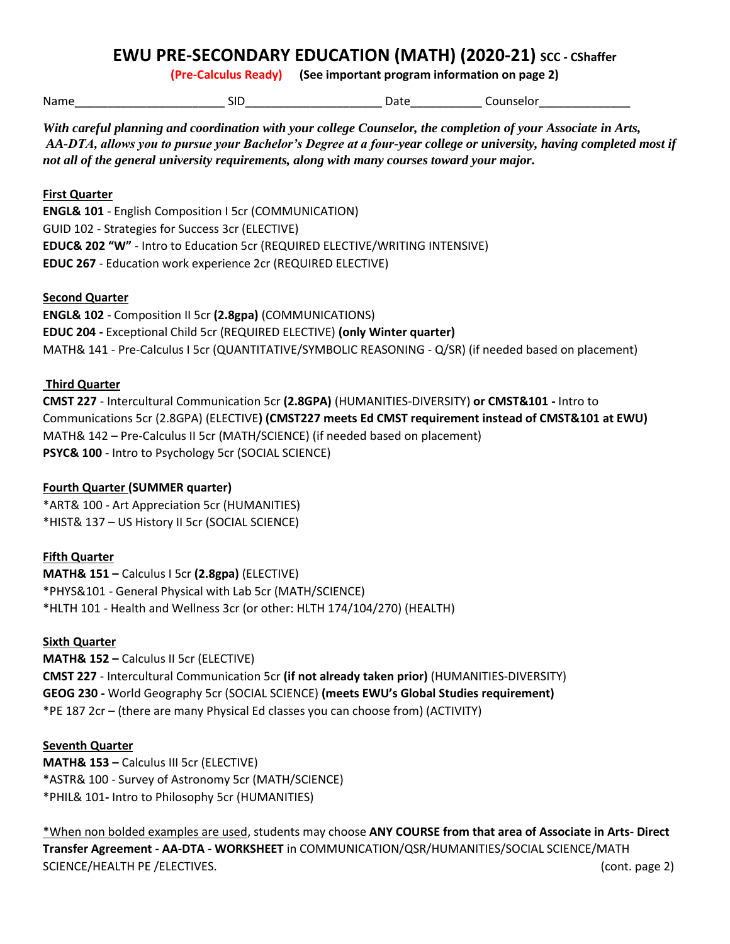# **EWU PRE-SECONDARY EDUCATION (MATH) (2020-21) SCC - CShaffer**

**(Pre-Calculus Ready) (See important program information on page 2)**

Name\_\_\_\_\_\_\_\_\_\_\_\_\_\_\_\_\_\_\_\_\_\_\_ SID\_\_\_\_\_\_\_\_\_\_\_\_\_\_\_\_\_\_\_\_\_ Date\_\_\_\_\_\_\_\_\_\_\_ Counselor\_\_\_\_\_\_\_\_\_\_\_\_\_\_

*With careful planning and coordination with your college Counselor, the completion of your Associate in Arts, AA-DTA, allows you to pursue your Bachelor's Degree at a four-year college or university, having completed most if not all of the general university requirements, along with many courses toward your major.* 

## **First Quarter**

**ENGL& 101** - English Composition I 5cr (COMMUNICATION) GUID 102 - Strategies for Success 3cr (ELECTIVE) **EDUC& 202 "W"** - Intro to Education 5cr (REQUIRED ELECTIVE/WRITING INTENSIVE) **EDUC 267** - Education work experience 2cr (REQUIRED ELECTIVE)

### **Second Quarter**

**ENGL& 102** - Composition II 5cr **(2.8gpa)** (COMMUNICATIONS) **EDUC 204 -** Exceptional Child 5cr (REQUIRED ELECTIVE) **(only Winter quarter)** MATH& 141 - Pre-Calculus I 5cr (QUANTITATIVE/SYMBOLIC REASONING - Q/SR) (if needed based on placement)

### **Third Quarter**

**CMST 227** - Intercultural Communication 5cr **(2.8GPA)** (HUMANITIES-DIVERSITY) **or CMST&101 -** Intro to Communications 5cr (2.8GPA) (ELECTIVE**) (CMST227 meets Ed CMST requirement instead of CMST&101 at EWU)** MATH& 142 – Pre-Calculus II 5cr (MATH/SCIENCE) (if needed based on placement) **PSYC& 100** - Intro to Psychology 5cr (SOCIAL SCIENCE)

## **Fourth Quarter (SUMMER quarter)**

\*ART& 100 - Art Appreciation 5cr (HUMANITIES) \*HIST& 137 – US History II 5cr (SOCIAL SCIENCE)

## **Fifth Quarter**

**MATH& 151 –** Calculus I 5cr **(2.8gpa)** (ELECTIVE) \*PHYS&101 - General Physical with Lab 5cr (MATH/SCIENCE) \*HLTH 101 - Health and Wellness 3cr (or other: HLTH 174/104/270) (HEALTH)

#### **Sixth Quarter**

**MATH& 152 –** Calculus II 5cr (ELECTIVE) **CMST 227** - Intercultural Communication 5cr **(if not already taken prior)** (HUMANITIES-DIVERSITY) **GEOG 230 -** World Geography 5cr (SOCIAL SCIENCE) **(meets EWU's Global Studies requirement)** \*PE 187 2cr – (there are many Physical Ed classes you can choose from) (ACTIVITY)

#### **Seventh Quarter**

**MATH& 153 –** Calculus III 5cr (ELECTIVE) \*ASTR& 100 - Survey of Astronomy 5cr (MATH/SCIENCE) \*PHIL& 101**-** Intro to Philosophy 5cr (HUMANITIES)

\*When non bolded examples are used, students may choose **ANY COURSE from that area of Associate in Arts- Direct Transfer Agreement - AA-DTA - WORKSHEET** in COMMUNICATION/QSR/HUMANITIES/SOCIAL SCIENCE/MATH SCIENCE/HEALTH PE /ELECTIVES. (cont. page 2)